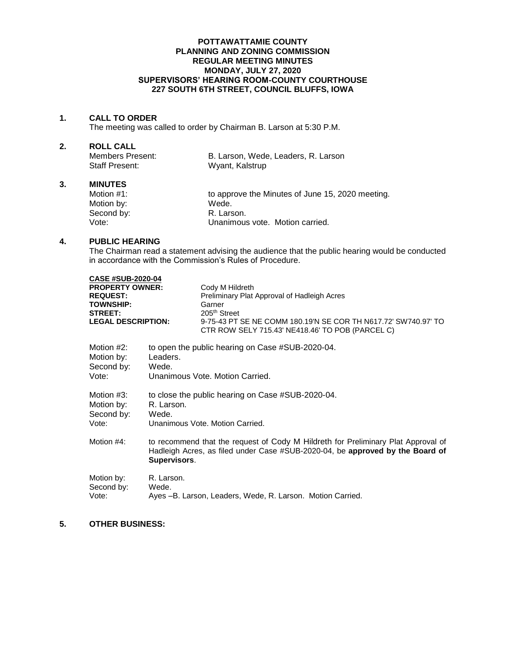#### **POTTAWATTAMIE COUNTY PLANNING AND ZONING COMMISSION REGULAR MEETING MINUTES MONDAY, JULY 27, 2020 SUPERVISORS' HEARING ROOM-COUNTY COURTHOUSE 227 SOUTH 6TH STREET, COUNCIL BLUFFS, IOWA**

### **1. CALL TO ORDER**

The meeting was called to order by Chairman B. Larson at 5:30 P.M.

# **2. ROLL CALL**

| Members Present: | B. Larson, Wede, Leaders, R. Larson |  |
|------------------|-------------------------------------|--|
| Staff Present:   | Wyant, Kalstrup                     |  |
|                  |                                     |  |

# **3. MINUTES**

| Motion $#1$ : | to approve the Minutes of June 15, 2020 meeting. |
|---------------|--------------------------------------------------|
| Motion by:    | Wede.                                            |
| Second by:    | R. Larson.                                       |
| Vote:         | Unanimous vote. Motion carried.                  |

# **4. PUBLIC HEARING**

The Chairman read a statement advising the audience that the public hearing would be conducted in accordance with the Commission's Rules of Procedure.

| <b>CASE #SUB-2020-04</b>                                                                                     |                                                                                                                                                                                    |                                                                                                                                                                                                                            |
|--------------------------------------------------------------------------------------------------------------|------------------------------------------------------------------------------------------------------------------------------------------------------------------------------------|----------------------------------------------------------------------------------------------------------------------------------------------------------------------------------------------------------------------------|
| <b>PROPERTY OWNER:</b><br><b>REQUEST:</b><br><b>TOWNSHIP:</b><br><b>STREET:</b><br><b>LEGAL DESCRIPTION:</b> |                                                                                                                                                                                    | Cody M Hildreth<br>Preliminary Plat Approval of Hadleigh Acres<br>Garner<br>205 <sup>th</sup> Street<br>9-75-43 PT SE NE COMM 180.19'N SE COR TH N617.72' SW740.97' TO<br>CTR ROW SELY 715.43' NE418.46' TO POB (PARCEL C) |
| Motion #2:<br>Motion by:<br>Second by:<br>Vote:                                                              | to open the public hearing on Case #SUB-2020-04.<br>Leaders.<br>Wede.<br>Unanimous Vote, Motion Carried.                                                                           |                                                                                                                                                                                                                            |
| Motion #3:<br>Motion by:<br>Second by:<br>Vote:                                                              | to close the public hearing on Case #SUB-2020-04.<br>R. Larson.<br>Wede.<br>Unanimous Vote, Motion Carried.                                                                        |                                                                                                                                                                                                                            |
| Motion #4:                                                                                                   | to recommend that the request of Cody M Hildreth for Preliminary Plat Approval of<br>Hadleigh Acres, as filed under Case #SUB-2020-04, be approved by the Board of<br>Supervisors. |                                                                                                                                                                                                                            |
| Motion by:<br>Second by:<br>Vote:                                                                            | R. Larson.<br>Wede.                                                                                                                                                                | Ayes -B. Larson, Leaders, Wede, R. Larson. Motion Carried.                                                                                                                                                                 |

## **5. OTHER BUSINESS:**